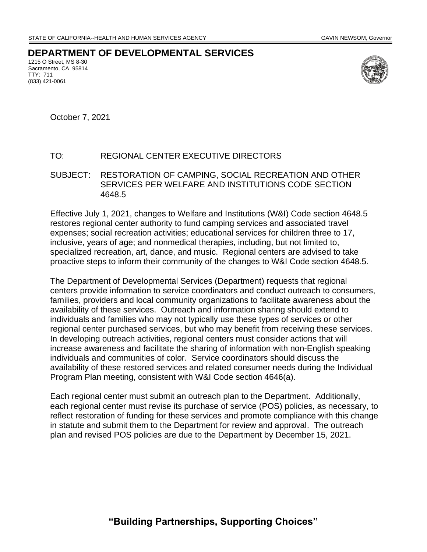**DEPARTMENT OF DEVELOPMENTAL SERVICES**

1215 O Street, MS 8-30 Sacramento, CA 95814 TTY: 711 (833) 421-0061



October 7, 2021

## TO: REGIONAL CENTER EXECUTIVE DIRECTORS

SUBJECT: RESTORATION OF CAMPING, SOCIAL RECREATION AND OTHER SERVICES PER WELFARE AND INSTITUTIONS CODE SECTION 4648.5

Effective July 1, 2021, changes to Welfare and Institutions (W&I) Code section 4648.5 restores regional center authority to fund camping services and associated travel expenses; social recreation activities; educational services for children three to 17, inclusive, years of age; and nonmedical therapies, including, but not limited to, specialized recreation, art, dance, and music. Regional centers are advised to take proactive steps to inform their community of the changes to W&I Code section 4648.5.

The Department of Developmental Services (Department) requests that regional centers provide information to service coordinators and conduct outreach to consumers, families, providers and local community organizations to facilitate awareness about the availability of these services. Outreach and information sharing should extend to individuals and families who may not typically use these types of services or other regional center purchased services, but who may benefit from receiving these services. In developing outreach activities, regional centers must consider actions that will increase awareness and facilitate the sharing of information with non-English speaking individuals and communities of color. Service coordinators should discuss the availability of these restored services and related consumer needs during the Individual Program Plan meeting, consistent with W&I Code section 4646(a).

Each regional center must submit an outreach plan to the Department. Additionally, each regional center must revise its purchase of service (POS) policies, as necessary, to reflect restoration of funding for these services and promote compliance with this change in statute and submit them to the Department for review and approval. The outreach plan and revised POS policies are due to the Department by December 15, 2021.